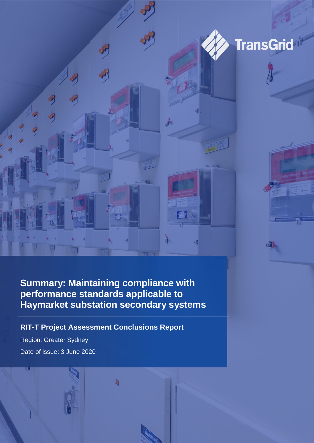



 $136.$ 

## **Summary: Maintaining compliance with performance standards applicable to Haymarket substation secondary systems**

b

國

### **RIT-T Project Assessment Conclusions Report**

Region: Greater Sydney Date of issue: 3 June 2020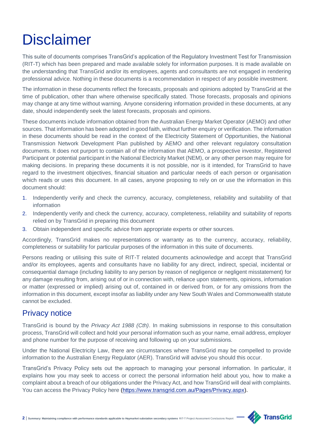# **Disclaimer**

This suite of documents comprises TransGrid's application of the Regulatory Investment Test for Transmission (RIT-T) which has been prepared and made available solely for information purposes. It is made available on the understanding that TransGrid and/or its employees, agents and consultants are not engaged in rendering professional advice. Nothing in these documents is a recommendation in respect of any possible investment.

The information in these documents reflect the forecasts, proposals and opinions adopted by TransGrid at the time of publication, other than where otherwise specifically stated. Those forecasts, proposals and opinions may change at any time without warning. Anyone considering information provided in these documents, at any date, should independently seek the latest forecasts, proposals and opinions.

These documents include information obtained from the Australian Energy Market Operator (AEMO) and other sources. That information has been adopted in good faith, without further enquiry or verification. The information in these documents should be read in the context of the Electricity Statement of Opportunities, the National Transmission Network Development Plan published by AEMO and other relevant regulatory consultation documents. It does not purport to contain all of the information that AEMO, a prospective investor, Registered Participant or potential participant in the National Electricity Market (NEM), or any other person may require for making decisions. In preparing these documents it is not possible, nor is it intended, for TransGrid to have regard to the investment objectives, financial situation and particular needs of each person or organisation which reads or uses this document. In all cases, anyone proposing to rely on or use the information in this document should:

- 1. Independently verify and check the currency, accuracy, completeness, reliability and suitability of that information
- 2. Independently verify and check the currency, accuracy, completeness, reliability and suitability of reports relied on by TransGrid in preparing this document
- 3. Obtain independent and specific advice from appropriate experts or other sources.

Accordingly, TransGrid makes no representations or warranty as to the currency, accuracy, reliability, completeness or suitability for particular purposes of the information in this suite of documents.

Persons reading or utilising this suite of RIT-T related documents acknowledge and accept that TransGrid and/or its employees, agents and consultants have no liability for any direct, indirect, special, incidental or consequential damage (including liability to any person by reason of negligence or negligent misstatement) for any damage resulting from, arising out of or in connection with, reliance upon statements, opinions, information or matter (expressed or implied) arising out of, contained in or derived from, or for any omissions from the information in this document, except insofar as liability under any New South Wales and Commonwealth statute cannot be excluded.

### Privacy notice

TransGrid is bound by the *Privacy Act 1988 (Cth)*. In making submissions in response to this consultation process, TransGrid will collect and hold your personal information such as your name, email address, employer and phone number for the purpose of receiving and following up on your submissions.

Under the National Electricity Law, there are circumstances where TransGrid may be compelled to provide information to the Australian Energy Regulator (AER). TransGrid will advise you should this occur.

TransGrid's Privacy Policy sets out the approach to managing your personal information. In particular, it explains how you may seek to access or correct the personal information held about you, how to make a complaint about a breach of our obligations under the Privacy Act, and how TransGrid will deal with complaints. You can access the Privacy Policy here [\(https://www.transgrid.com.au/Pages/Privacy.aspx\)](https://www.transgrid.com.au/Pages/Privacy.aspx).

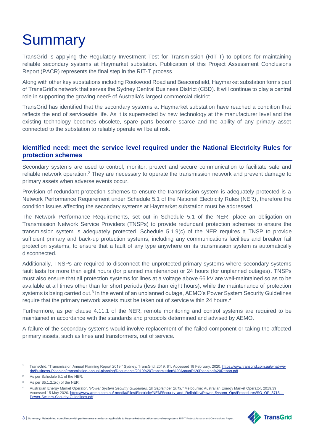## **Summary**

TransGrid is applying the Regulatory Investment Test for Transmission (RIT-T) to options for maintaining reliable secondary systems at Haymarket substation. Publication of this Project Assessment Conclusions Report (PACR) represents the final step in the RIT-T process.

Along with other key substations including Rookwood Road and Beaconsfield, Haymarket substation forms part of TransGrid's network that serves the Sydney Central Business District (CBD). It will continue to play a central role in supporting the growing need<sup>1</sup> of Australia's largest commercial district.

TransGrid has identified that the secondary systems at Haymarket substation have reached a condition that reflects the end of serviceable life. As it is superseded by new technology at the manufacturer level and the existing technology becomes obsolete, spare parts become scarce and the ability of any primary asset connected to the substation to reliably operate will be at risk.

#### **Identified need: meet the service level required under the National Electricity Rules for protection schemes**

Secondary systems are used to control, monitor, protect and secure communication to facilitate safe and reliable network operation.<sup>2</sup> They are necessary to operate the transmission network and prevent damage to primary assets when adverse events occur.

Provision of redundant protection schemes to ensure the transmission system is adequately protected is a Network Performance Requirement under Schedule 5.1 of the National Electricity Rules (NER), therefore the condition issues affecting the secondary systems at Haymarket substation must be addressed.

The Network Performance Requirements, set out in Schedule 5.1 of the NER, place an obligation on Transmission Network Service Providers (TNSPs) to provide redundant protection schemes to ensure the transmission system is adequately protected. Schedule 5.1.9(c) of the NER requires a TNSP to provide sufficient primary and back-up protection systems, including any communications facilities and breaker fail protection systems, to ensure that a fault of any type anywhere on its transmission system is automatically disconnected.

Additionally, TNSPs are required to disconnect the unprotected primary systems where secondary systems fault lasts for more than eight hours (for planned maintenance) or 24 hours (for unplanned outages). TNSPs must also ensure that all protection systems for lines at a voltage above 66 kV are well-maintained so as to be available at all times other than for short periods (less than eight hours), while the maintenance of protection systems is being carried out.<sup>3</sup> In the event of an unplanned outage, AEMO's Power System Security Guidelines require that the primary network assets must be taken out of service within 24 hours.<sup>4</sup>

Furthermore, as per clause 4.11.1 of the NER, remote monitoring and control systems are required to be maintained in accordance with the standards and protocols determined and advised by AEMO.

A failure of the secondary systems would involve replacement of the failed component or taking the affected primary assets, such as lines and transformers, out of service.

 $\overline{a}$ 

<sup>4</sup> Australian Energy Market Operator. *"Power System Security Guidelines, 20 September 2019."* Melbourne: Australian Energy Market Operator, 2019.39 Accessed 15 May 2020[. https://www.aemo.com.au/-/media/Files/Electricity/NEM/Security\\_and\\_Reliability/Power\\_System\\_Ops/Procedures/SO\\_OP\\_3715---](https://www.aemo.com.au/-/media/Files/Electricity/NEM/Security_and_Reliability/Power_System_Ops/Procedures/SO_OP_3715---Power-System-Security-Guidelines.pdf) [Power-System-Security-Guidelines.pdf](https://www.aemo.com.au/-/media/Files/Electricity/NEM/Security_and_Reliability/Power_System_Ops/Procedures/SO_OP_3715---Power-System-Security-Guidelines.pdf)



**3** | **Summary: Maintaining compliance with performance standards applicable to Haymarket substation secondary systems** RIT-T Project Assessment Conclusions Report

<sup>1</sup> TransGrid. "Transmission Annual Planning Report 2019." Sydney: TransGrid, 2019. 81. Accessed 18 February, 2020. [https://www.transgrid.com.au/what-we](https://www.transgrid.com.au/what-we-do/Business-Planning/transmission-annual-planning/Documents/2019%20Transmission%20Annual%20Planning%20Report.pdf)[do/Business-Planning/transmission-annual-planning/Documents/2019%20Transmission%20Annual%20Planning%20Report.pdf](https://www.transgrid.com.au/what-we-do/Business-Planning/transmission-annual-planning/Documents/2019%20Transmission%20Annual%20Planning%20Report.pdf)

As per Schedule 5.1 of the NER.

As per  $S5.1.2.1(d)$  of the NER.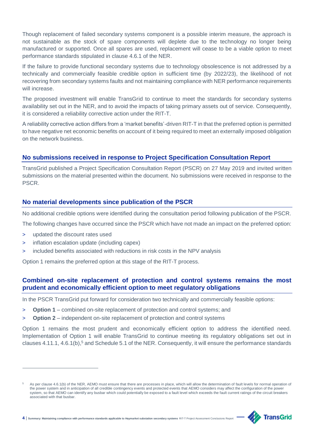Though replacement of failed secondary systems component is a possible interim measure, the approach is not sustainable as the stock of spare components will deplete due to the technology no longer being manufactured or supported. Once all spares are used, replacement will cease to be a viable option to meet performance standards stipulated in clause 4.6.1 of the NER.

If the failure to provide functional secondary systems due to technology obsolescence is not addressed by a technically and commercially feasible credible option in sufficient time (by 2022/23), the likelihood of not recovering from secondary systems faults and not maintaining compliance with NER performance requirements will increase.

The proposed investment will enable TransGrid to continue to meet the standards for secondary systems availability set out in the NER, and to avoid the impacts of taking primary assets out of service. Consequently, it is considered a reliability corrective action under the RIT-T.

A reliability corrective action differs from a 'market benefits'-driven RIT-T in that the preferred option is permitted to have negative net economic benefits on account of it being required to meet an externally imposed obligation on the network business.

#### **No submissions received in response to Project Specification Consultation Report**

TransGrid published a Project Specification Consultation Report (PSCR) on 27 May 2019 and invited written submissions on the material presented within the document. No submissions were received in response to the PSCR.

#### **No material developments since publication of the PSCR**

No additional credible options were identified during the consultation period following publication of the PSCR.

The following changes have occurred since the PSCR which have not made an impact on the preferred option:

> updated the discount rates used

 $\overline{a}$ 

- > inflation escalation update (including capex)
- > included benefits associated with reductions in risk costs in the NPV analysis

Option 1 remains the preferred option at this stage of the RIT-T process.

#### **Combined on-site replacement of protection and control systems remains the most prudent and economically efficient option to meet regulatory obligations**

In the PSCR TransGrid put forward for consideration two technically and commercially feasible options:

- > **Option 1** combined on-site replacement of protection and control systems; and
- > **Option 2** independent on-site replacement of protection and control systems

Option 1 remains the most prudent and economically efficient option to address the identified need. Implementation of Option 1 will enable TransGrid to continue meeting its regulatory obligations set out in clauses 4.11.1, 4.6.1(b),<sup>5</sup> and Schedule 5.1 of the NER. Consequently, it will ensure the performance standards

As per clause 4.6.1(b) of the NER, AEMO must ensure that there are processes in place, which will allow the determination of fault levels for normal operation of the power system and in anticipation of all credible contingency events and protected events that AEMO considers may affect the configuration of the power system, so that AEMO can identify any busbar which could potentially be exposed to a fault level which exceeds the fault current ratings of the circuit breakers associated with that busbar.



**<sup>4</sup>** | **Summary: Maintaining compliance with performance standards applicable to Haymarket substation secondary systems** RIT-T Project Assessment Conclusions Report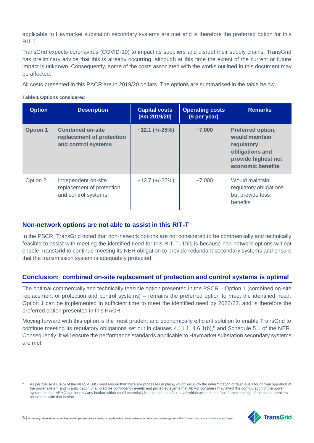applicable to Haymarket substation secondary systems are met and is therefore the preferred option for this RIT-T.

TransGrid expects coronavirus (COVID-19) to impact its suppliers and disrupt their supply chains. TransGrid has preliminary advice that this is already occurring, although at this time the extent of the current or future impact is unknown. Consequently, some of the costs associated with the works outlined in this document may be affected.

All costs presented in this PACR are in 2019/20 dollars. The options are summarised in the table below.

#### **Table 1 Options considered**

 $\overline{a}$ 

| <b>Option</b>   | <b>Description</b>                                                          | <b>Capital costs</b><br>(\$m 2019/20) | <b>Operating costs</b><br>(\$ per year) | <b>Remarks</b>                                                                                                   |
|-----------------|-----------------------------------------------------------------------------|---------------------------------------|-----------------------------------------|------------------------------------------------------------------------------------------------------------------|
| <b>Option 1</b> | <b>Combined on-site</b><br>replacement of protection<br>and control systems | $~12.1~(+/-25%)$                      | $~1$ ,000                               | Preferred option,<br>would maintain<br>regulatory<br>obligations and<br>provide highest net<br>economic benefits |
| Option 2        | Independent on-site<br>replacement of protection<br>and control systems     | $~12.7~(+/-25%)$                      | ~1000                                   | Would maintain<br>regulatory obligations<br>but provide less<br>benefits                                         |

#### **Non-network options are not able to assist in this RIT-T**

In the PSCR, TransGrid noted that non-network options are not considered to be commercially and technically feasible to assist with meeting the identified need for this RIT-T. This is because non-network options will not enable TransGrid to continue meeting its NER obligation to provide redundant secondary systems and ensure that the transmission system is adequately protected.

#### **Conclusion: combined on-site replacement of protection and control systems is optimal**

The optimal commercially and technically feasible option presented in the PSCR – Option 1 (combined on-site replacement of protection and control systems) – remains the preferred option to meet the identified need. Option 1 can be implemented in sufficient time to meet the identified need by 2022/23, and is therefore the preferred option presented in this PACR.

Moving forward with this option is the most prudent and economically efficient solution to enable TransGrid to continue meeting its regulatory obligations set out in clauses 4.11.1, 4.6.1(b),<sup>6</sup> and Schedule 5.1 of the NER. Consequently, it will ensure the performance standards applicable to Haymarket substation secondary systems are met.

As per clause 4.6.1(b) of the NER, AEMO must ensure that there are processes in place, which will allow the determination of fault levels for normal operation of the power system and in anticipation of all credible contingency events and protected events that AEMO considers may affect the configuration of the power system, so that AEMO can identify any busbar which could potentially be exposed to a fault level which exceeds the fault current ratings of the circuit breakers associated with that busbar.



5 | Summary: Maintaining compliance with performance standards applicable to Haymarket substation secondary systems RIT-T Project Assessment Conclusions Repo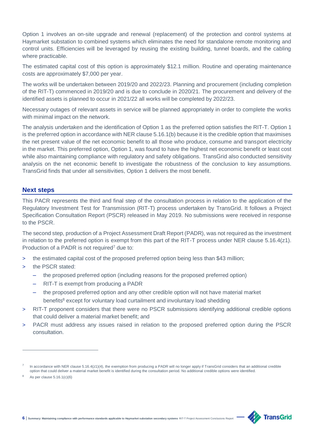Option 1 involves an on-site upgrade and renewal (replacement) of the protection and control systems at Haymarket substation to combined systems which eliminates the need for standalone remote monitoring and control units. Efficiencies will be leveraged by reusing the existing building, tunnel boards, and the cabling where practicable.

The estimated capital cost of this option is approximately \$12.1 million. Routine and operating maintenance costs are approximately \$7,000 per year.

The works will be undertaken between 2019/20 and 2022/23. Planning and procurement (including completion of the RIT-T) commenced in 2019/20 and is due to conclude in 2020/21. The procurement and delivery of the identified assets is planned to occur in 2021/22 all works will be completed by 2022/23.

Necessary outages of relevant assets in service will be planned appropriately in order to complete the works with minimal impact on the network.

The analysis undertaken and the identification of Option 1 as the preferred option satisfies the RIT-T. Option 1 is the preferred option in accordance with NER clause 5.16.1(b) because it is the credible option that maximises the net present value of the net economic benefit to all those who produce, consume and transport electricity in the market. This preferred option, Option 1, was found to have the highest net economic benefit or least cost while also maintaining compliance with regulatory and safety obligations. TransGrid also conducted sensitivity analysis on the net economic benefit to investigate the robustness of the conclusion to key assumptions. TransGrid finds that under all sensitivities, Option 1 delivers the most benefit.

#### **Next steps**

This PACR represents the third and final step of the consultation process in relation to the application of the Regulatory Investment Test for Transmission (RIT-T) process undertaken by TransGrid. It follows a Project Specification Consultation Report (PSCR) released in May 2019. No submissions were received in response to the PSCR.

The second step, production of a Project Assessment Draft Report (PADR), was not required as the investment in relation to the preferred option is exempt from this part of the RIT-T process under NER clause 5.16.4(z1). Production of a PADR is not required<sup>7</sup> due to:

- > the estimated capital cost of the proposed preferred option being less than \$43 million;
- > the PSCR stated:
	- the proposed preferred option (including reasons for the proposed preferred option)
	- RIT-T is exempt from producing a PADR
	- the proposed preferred option and any other credible option will not have material market benefits<sup>8</sup> except for voluntary load curtailment and involuntary load shedding
- > RIT-T proponent considers that there were no PSCR submissions identifying additional credible options that could deliver a material market benefit; and
- PACR must address any issues raised in relation to the proposed preferred option during the PSCR consultation.

 $\overline{a}$ 



<sup>7</sup> In accordance with NER clause 5.16.4(z1)(4), the exemption from producing a PADR will no longer apply if TransGrid considers that an additional credible option that could deliver a material market benefit is identified during the consultation period. No additional credible options were identified.

<sup>8</sup> As per clause 5.16.1(c)(6)